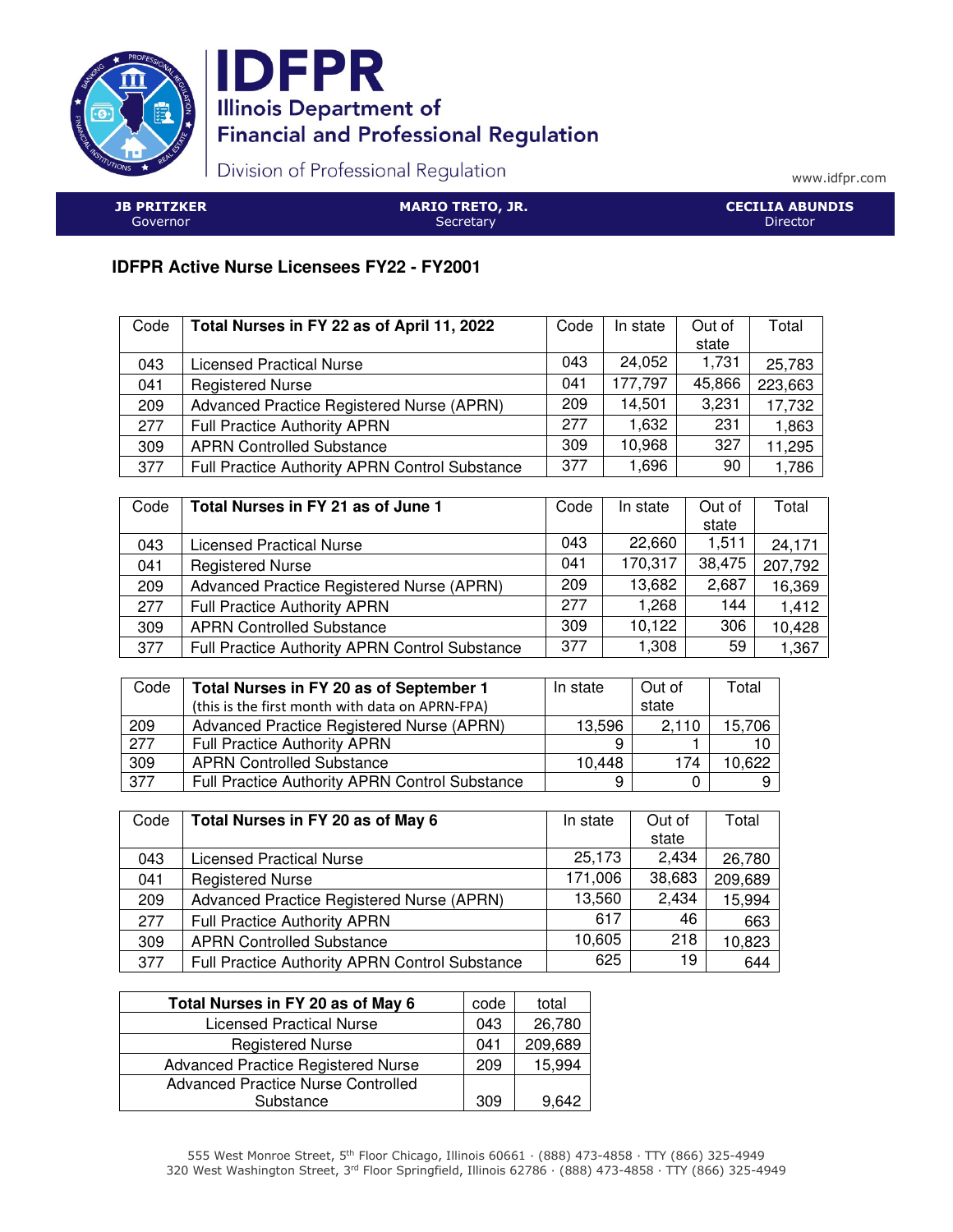



Division of Professional Regulation

www.idfpr.com

| <b>JB PRITZKER</b> | <b>MARIO TRETO, JR.</b> | <b>CECILIA ABUNDIS</b> |
|--------------------|-------------------------|------------------------|
| Governor.          | Secretary               | Director               |

## **IDFPR Active Nurse Licensees FY22 - FY2001**

| Code | Total Nurses in FY 22 as of April 11, 2022     | Code | In state | Out of | Total   |
|------|------------------------------------------------|------|----------|--------|---------|
|      |                                                |      |          | state  |         |
| 043  | <b>Licensed Practical Nurse</b>                | 043  | 24,052   | 1,731  | 25,783  |
| 041  | <b>Registered Nurse</b>                        | 041  | 177,797  | 45,866 | 223,663 |
| 209  | Advanced Practice Registered Nurse (APRN)      | 209  | 14,501   | 3,231  | 17,732  |
| 277  | <b>Full Practice Authority APRN</b>            | 277  | 1,632    | 231    | 1,863   |
| 309  | <b>APRN Controlled Substance</b>               | 309  | 10,968   | 327    | 11,295  |
| 377  | Full Practice Authority APRN Control Substance | 377  | 1,696    | 90     | 1,786   |

| Code | Total Nurses in FY 21 as of June 1                    | Code | In state | Out of | Total   |
|------|-------------------------------------------------------|------|----------|--------|---------|
|      |                                                       |      |          | state  |         |
| 043  | <b>Licensed Practical Nurse</b>                       | 043  | 22,660   | 1.511  | 24,171  |
| 041  | <b>Registered Nurse</b>                               | 041  | 170,317  | 38,475 | 207,792 |
| 209  | Advanced Practice Registered Nurse (APRN)             | 209  | 13,682   | 2,687  | 16,369  |
| 277  | <b>Full Practice Authority APRN</b>                   | 277  | 1,268    | 144    | 1,412   |
| 309  | <b>APRN Controlled Substance</b>                      | 309  | 10,122   | 306    | 10,428  |
| 377  | <b>Full Practice Authority APRN Control Substance</b> | 377  | 1,308    | 59     | 1,367   |

| Code | Total Nurses in FY 20 as of September 1               | In state | Out of | Total  |
|------|-------------------------------------------------------|----------|--------|--------|
|      | (this is the first month with data on APRN-FPA)       |          | state  |        |
| 209  | Advanced Practice Registered Nurse (APRN)             | 13,596   | 2.110  | 15,706 |
| 277  | <b>Full Practice Authority APRN</b>                   | 9        |        |        |
| 309  | <b>APRN Controlled Substance</b>                      | 10,448   | 174    | 10,622 |
| 377  | <b>Full Practice Authority APRN Control Substance</b> | 9        |        |        |

| Code | Total Nurses in FY 20 as of May 6              | In state | Out of | Total   |
|------|------------------------------------------------|----------|--------|---------|
|      |                                                |          | state  |         |
| 043  | <b>Licensed Practical Nurse</b>                | 25,173   | 2,434  | 26,780  |
| 041  | <b>Registered Nurse</b>                        | 171,006  | 38,683 | 209,689 |
| 209  | Advanced Practice Registered Nurse (APRN)      | 13,560   | 2,434  | 15,994  |
| 277  | <b>Full Practice Authority APRN</b>            | 617      | 46     | 663     |
| 309  | <b>APRN Controlled Substance</b>               | 10,605   | 218    | 10,823  |
| 377  | Full Practice Authority APRN Control Substance | 625      | 19     | 644     |

| Total Nurses in FY 20 as of May 6         | code | total   |
|-------------------------------------------|------|---------|
| <b>Licensed Practical Nurse</b>           | 043  | 26,780  |
| <b>Registered Nurse</b>                   | 041  | 209,689 |
| <b>Advanced Practice Registered Nurse</b> | 209  | 15,994  |
| <b>Advanced Practice Nurse Controlled</b> |      |         |
| Substance                                 | 309  | 9.642   |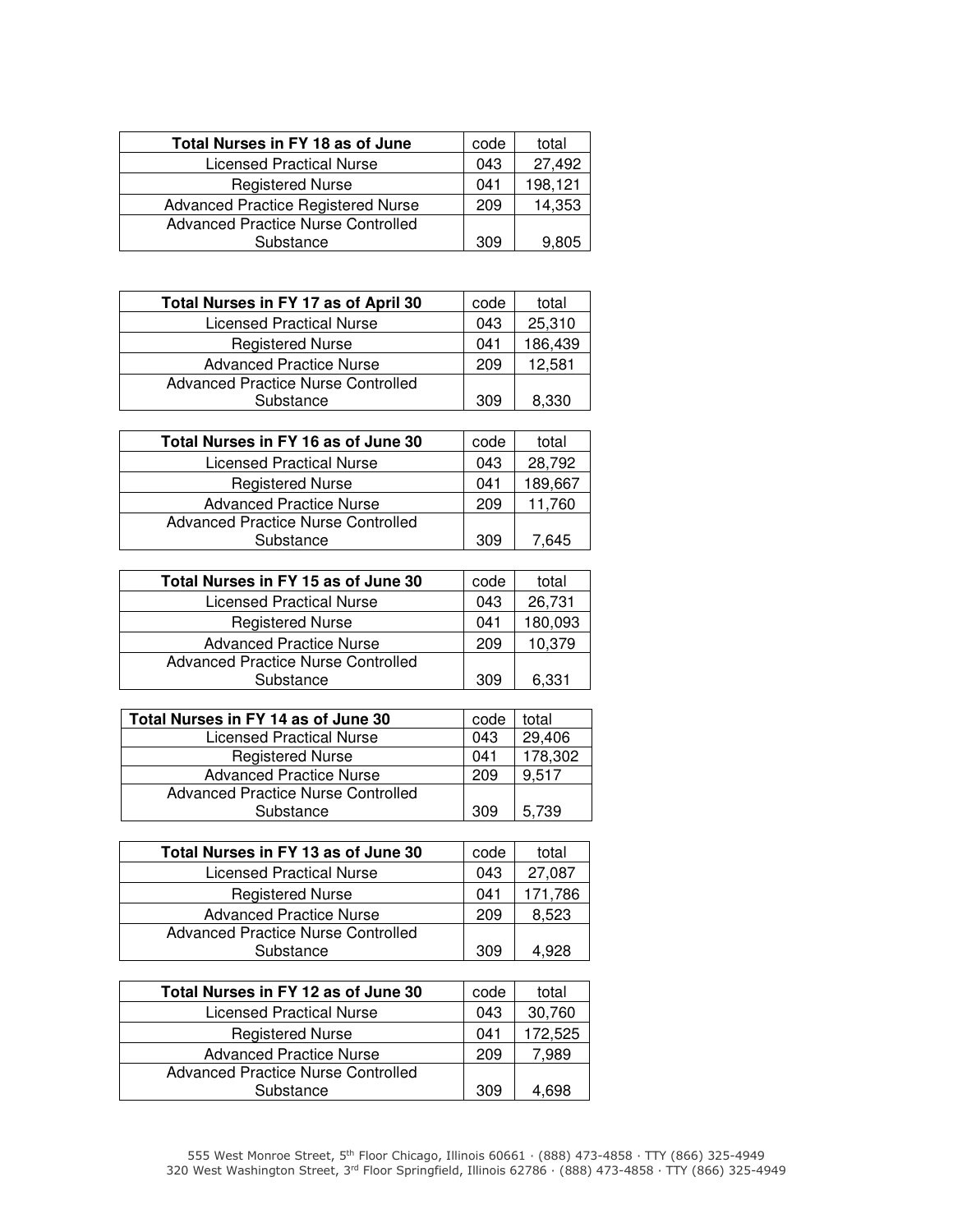| Total Nurses in FY 18 as of June          | code | total   |
|-------------------------------------------|------|---------|
| <b>Licensed Practical Nurse</b>           | 043  | 27,492  |
| <b>Registered Nurse</b>                   | 041  | 198,121 |
| <b>Advanced Practice Registered Nurse</b> | 209  | 14,353  |
| <b>Advanced Practice Nurse Controlled</b> |      |         |
| Substance                                 | 309  | 9.805   |

| Total Nurses in FY 17 as of April 30 | code | total   |
|--------------------------------------|------|---------|
| Licensed Practical Nurse             | 043  | 25,310  |
| <b>Registered Nurse</b>              | 041  | 186,439 |
| <b>Advanced Practice Nurse</b>       | 209  | 12,581  |
| Advanced Practice Nurse Controlled   |      |         |
| Substance                            | 309  | 8,330   |

| Total Nurses in FY 16 as of June 30 | code | total   |
|-------------------------------------|------|---------|
| <b>Licensed Practical Nurse</b>     | 043  | 28,792  |
| <b>Registered Nurse</b>             | 041  | 189,667 |
| <b>Advanced Practice Nurse</b>      | 209  | 11.760  |
| Advanced Practice Nurse Controlled  |      |         |
| Substance                           | 309  | 645     |

| Total Nurses in FY 15 as of June 30 | code | total   |
|-------------------------------------|------|---------|
| Licensed Practical Nurse            | 043  | 26,731  |
| <b>Registered Nurse</b>             | 041  | 180,093 |
| <b>Advanced Practice Nurse</b>      | 209  | 10,379  |
| Advanced Practice Nurse Controlled  |      |         |
| Substance                           | 309  | 6.331   |

| Total Nurses in FY 14 as of June 30 | code | total   |
|-------------------------------------|------|---------|
| <b>Licensed Practical Nurse</b>     | 043  | 29,406  |
| <b>Registered Nurse</b>             | 041  | 178,302 |
| <b>Advanced Practice Nurse</b>      | 209  | 9,517   |
| Advanced Practice Nurse Controlled  |      |         |
| Substance                           | 309  | 5.739   |

| Total Nurses in FY 13 as of June 30 | code | total   |
|-------------------------------------|------|---------|
| Licensed Practical Nurse            | 043  | 27,087  |
| <b>Registered Nurse</b>             | 041  | 171,786 |
| <b>Advanced Practice Nurse</b>      | 209  | 8.523   |
| Advanced Practice Nurse Controlled  |      |         |
| Substance                           | 309  | 4 928   |

| Total Nurses in FY 12 as of June 30 | code | total   |
|-------------------------------------|------|---------|
| Licensed Practical Nurse            | 043  | 30,760  |
| <b>Registered Nurse</b>             | 041  | 172,525 |
| <b>Advanced Practice Nurse</b>      | 209  | 7.989   |
| Advanced Practice Nurse Controlled  |      |         |
| Substance                           | 309  | .698    |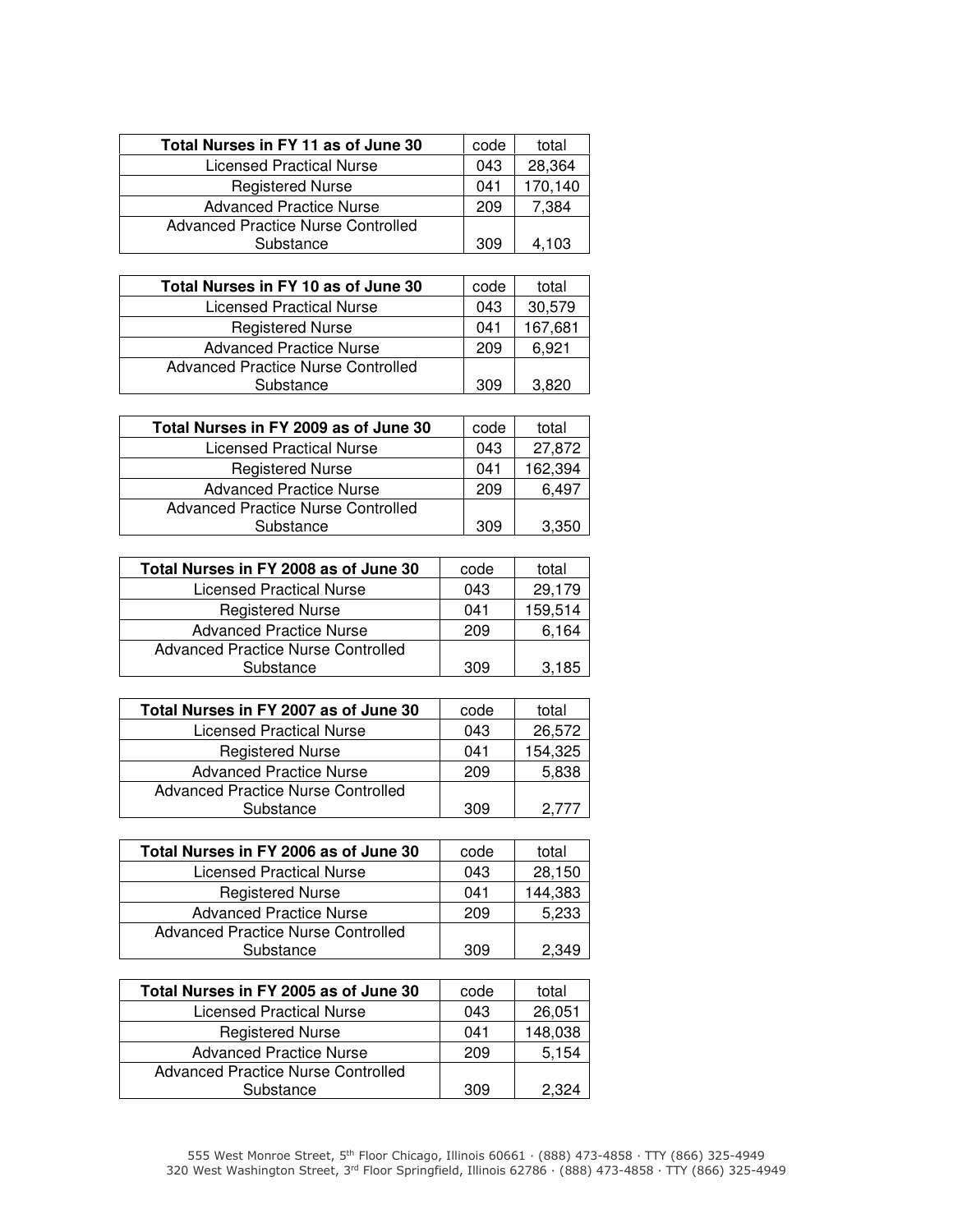| Total Nurses in FY 11 as of June 30 | code | total   |
|-------------------------------------|------|---------|
| Licensed Practical Nurse            | 043  | 28,364  |
| <b>Registered Nurse</b>             | 041  | 170,140 |
| <b>Advanced Practice Nurse</b>      | 209  | 7,384   |
| Advanced Practice Nurse Controlled  |      |         |
| Substance                           | 309  | 4.103   |

| Total Nurses in FY 10 as of June 30       | code | total   |
|-------------------------------------------|------|---------|
| Licensed Practical Nurse                  | 043  | 30,579  |
| <b>Registered Nurse</b>                   | 041  | 167,681 |
| <b>Advanced Practice Nurse</b>            | 209  | 6.921   |
| <b>Advanced Practice Nurse Controlled</b> |      |         |
| Substance                                 | 309  | 3,820   |

| Total Nurses in FY 2009 as of June 30 | code | total   |
|---------------------------------------|------|---------|
| <b>Licensed Practical Nurse</b>       | 043  | 27,872  |
| <b>Registered Nurse</b>               | 041  | 162,394 |
| <b>Advanced Practice Nurse</b>        | 209  | 6,497   |
| Advanced Practice Nurse Controlled    |      |         |
| Substance                             | 309  | 3.350   |

| Total Nurses in FY 2008 as of June 30 | code | total   |
|---------------------------------------|------|---------|
| Licensed Practical Nurse              | 043  | 29,179  |
| <b>Registered Nurse</b>               | 041  | 159,514 |
| <b>Advanced Practice Nurse</b>        | 209  | 6,164   |
| Advanced Practice Nurse Controlled    |      |         |
| Substance                             | 309  | 3.185   |
|                                       |      |         |

| Total Nurses in FY 2007 as of June 30 | code | total   |
|---------------------------------------|------|---------|
| <b>Licensed Practical Nurse</b>       | 043  | 26,572  |
| <b>Registered Nurse</b>               | 041  | 154,325 |
| <b>Advanced Practice Nurse</b>        | 209  | 5,838   |
| Advanced Practice Nurse Controlled    |      |         |
| Substance                             | 309  |         |

| Total Nurses in FY 2006 as of June 30 | code | total   |
|---------------------------------------|------|---------|
| Licensed Practical Nurse              | 043  | 28,150  |
| <b>Registered Nurse</b>               | 041  | 144,383 |
| <b>Advanced Practice Nurse</b>        | 209  | 5,233   |
| Advanced Practice Nurse Controlled    |      |         |
| Substance                             | 309  | 2.349   |

| Total Nurses in FY 2005 as of June 30 | code | total   |
|---------------------------------------|------|---------|
| Licensed Practical Nurse              | 043  | 26,051  |
| <b>Registered Nurse</b>               | 041  | 148,038 |
| <b>Advanced Practice Nurse</b>        | 209  | 5,154   |
| Advanced Practice Nurse Controlled    |      |         |
| Substance                             | 309  | 2.324   |